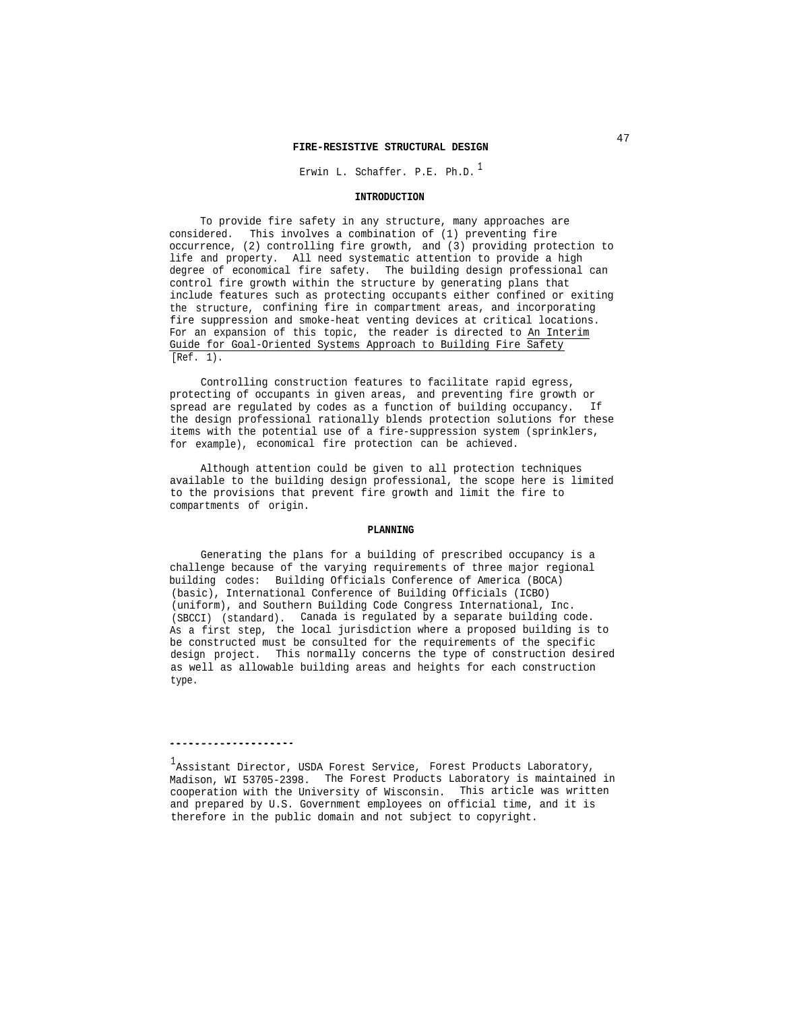Erwin L. Schaffer. P.E. Ph.D.<sup>1</sup>

### **INTRODUCTION**

To provide fire safety in any structure, many approaches are considered. This involves a combination of (1) preventing fire occurrence, (2) controlling fire growth, and (3) providing protection to life and property. All need systematic attention to provide a high degree of economical fire safety. The building design professional can control fire growth within the structure by generating plans that include features such as protecting occupants either confined or exiting the structure, confining fire in compartment areas, and incorporating fire suppression and smoke-heat venting devices at critical locations. For an expansion of this topic, the reader is directed to An Interim Guide for Goal-Oriented Systems Approach to Building Fire Safety [Ref. 1).

Controlling construction features to facilitate rapid egress, protecting of occupants in given areas, and preventing fire growth or spread are regulated by codes as a function of building occupancy. If the design professional rationally blends protection solutions for these items with the potential use of a fire-suppression system (sprinklers, for example), economical fire protection can be achieved.

Although attention could be given to all protection techniques available to the building design professional, the scope here is limited to the provisions that prevent fire growth and limit the fire to compartments of origin.

#### **PLANNING**

Generating the plans for a building of prescribed occupancy is a challenge because of the varying requirements of three major regional building codes: Building Officials Conference of America (BOCA) (basic), International Conference of Building Officials (ICBO) (uniform), and Southern Building Code Congress International, Inc. (SBCCI) (standard). Canada is regulated by a separate building code. As a first step, the local jurisdiction where a proposed building is to be constructed must be consulted for the requirements of the specific design project. This normally concerns the type of construction desired as well as allowable building areas and heights for each construction type.

### . . . . . . . . . . . . . . . . . . . .

 $^{\rm l}$ Assistant Director, USDA Forest Service, Forest Products Laboratory, Madison, WI 53705-2398. The Forest Products Laboratory is maintained in cooperation with the University of Wisconsin. This article was written and prepared by U.S. Government employees on official time, and it is therefore in the public domain and not subject to copyright.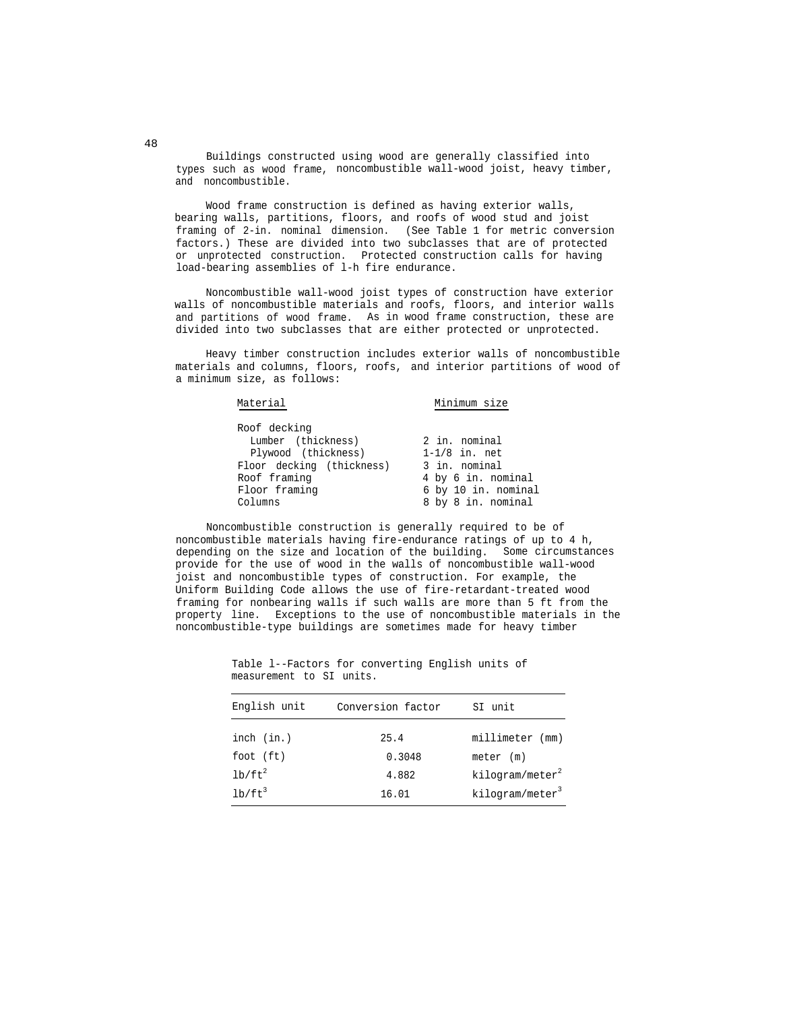Buildings constructed using wood are generally classified into types such as wood frame, noncombustible wall-wood joist, heavy timber, and noncombustible.

Wood frame construction is defined as having exterior walls, bearing walls, partitions, floors, and roofs of wood stud and joist framing of 2-in. nominal dimension. (See Table 1 for metric conversion factors.) These are divided into two subclasses that are of protected or unprotected construction. Protected construction calls for having load-bearing assemblies of l-h fire endurance.

Noncombustible wall-wood joist types of construction have exterior walls of noncombustible materials and roofs, floors, and interior walls and partitions of wood frame. As in wood frame construction, these are divided into two subclasses that are either protected or unprotected.

Heavy timber construction includes exterior walls of noncombustible materials and columns, floors, roofs, and interior partitions of wood of a minimum size, as follows:

| Material                  | Minimum size        |  |  |  |
|---------------------------|---------------------|--|--|--|
| Roof decking              |                     |  |  |  |
| Lumber (thickness)        | 2 in. nominal       |  |  |  |
| Plywood (thickness)       | $1-1/8$ in. net     |  |  |  |
| Floor decking (thickness) | 3 in. nominal       |  |  |  |
| Roof framing              | 4 by 6 in. nominal  |  |  |  |
| Floor framing             | 6 by 10 in. nominal |  |  |  |
| Columns                   | 8 by 8 in. nominal  |  |  |  |

Noncombustible construction is generally required to be of noncombustible materials having fire-endurance ratings of up to 4 h, depending on the size and location of the building. Some circumstances provide for the use of wood in the walls of noncombustible wall-wood joist and noncombustible types of construction. For example, the Uniform Building Code allows the use of fire-retardant-treated wood framing for nonbearing walls if such walls are more than 5 ft from the property line. Exceptions to the use of noncombustible materials in the noncombustible-type buildings are sometimes made for heavy timber

| English unit | Conversion factor | SI unit                     |
|--------------|-------------------|-----------------------------|
| inch (in.)   | 25.4              | millimeter (mm)             |
| foot $(ft)$  | 0.3048            | meter (m)                   |
| $lb/ft^2$    | 4.882             | kilogram/meter <sup>2</sup> |
| $1b/ft^3$    | 16.01             | kilogram/meter <sup>3</sup> |

Table l--Factors for converting English units of measurement to SI units.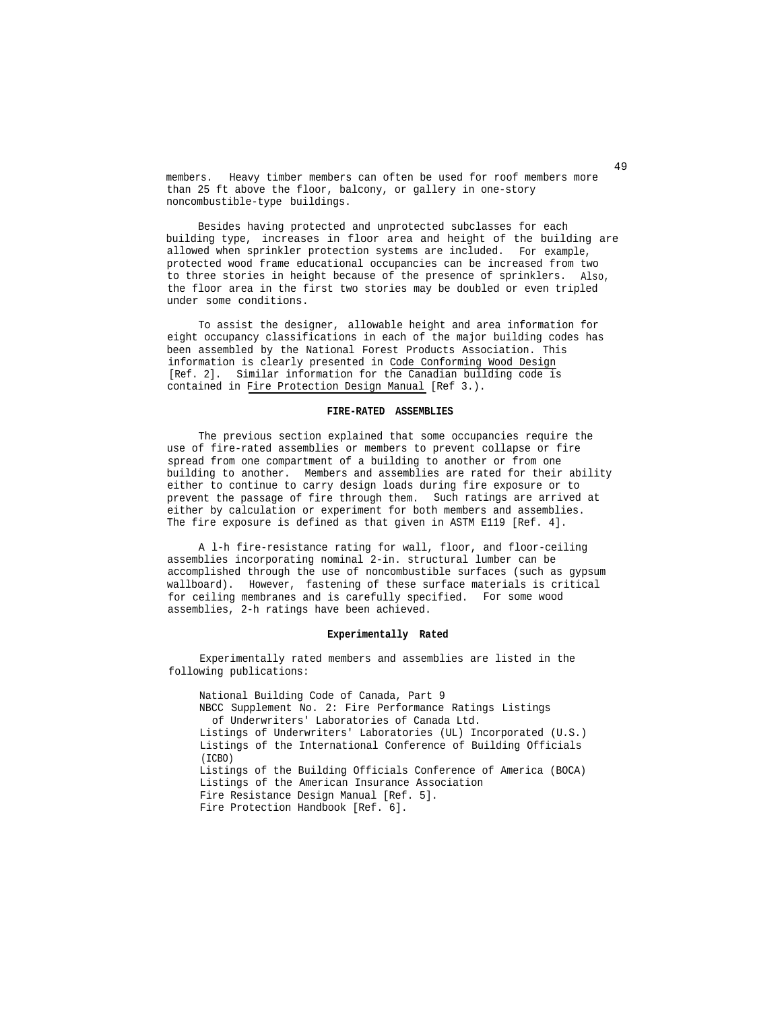members. Heavy timber members can often be used for roof members more than 25 ft above the floor, balcony, or gallery in one-story noncombustible-type buildings.

Besides having protected and unprotected subclasses for each building type, increases in floor area and height of the building are allowed when sprinkler protection systems are included. For example, protected wood frame educational occupancies can be increased from two to three stories in height because of the presence of sprinklers. Also, the floor area in the first two stories may be doubled or even tripled under some conditions.

To assist the designer, allowable height and area information for eight occupancy classifications in each of the major building codes has been assembled by the National Forest Products Association. This information is clearly presented in Code Conforming Wood Design [Ref. 2]. Similar information for the Canadian building code is contained in Fire Protection Design Manual [Ref 3.).

## **FIRE-RATED ASSEMBLIES**

The previous section explained that some occupancies require the use of fire-rated assemblies or members to prevent collapse or fire spread from one compartment of a building to another or from one building to another. Members and assemblies are rated for their ability either to continue to carry design loads during fire exposure or to prevent the passage of fire through them. Such ratings are arrived at either by calculation or experiment for both members and assemblies. The fire exposure is defined as that given in ASTM E119 [Ref. 4].

A l-h fire-resistance rating for wall, floor, and floor-ceiling assemblies incorporating nominal 2-in. structural lumber can be accomplished through the use of noncombustible surfaces (such as gypsum wallboard). However, fastening of these surface materials is critical for ceiling membranes and is carefully specified. For some wood assemblies, 2-h ratings have been achieved.

### **Experimentally Rated**

Experimentally rated members and assemblies are listed in the following publications:

National Building Code of Canada, Part 9 NBCC Supplement No. 2: Fire Performance Ratings Listings of Underwriters' Laboratories of Canada Ltd. Listings of Underwriters' Laboratories (UL) Incorporated (U.S.) Listings of the International Conference of Building Officials  $(TCBO)$ Listings of the Building Officials Conference of America (BOCA) Listings of the American Insurance Association Fire Resistance Design Manual [Ref. 5]. Fire Protection Handbook [Ref. 6].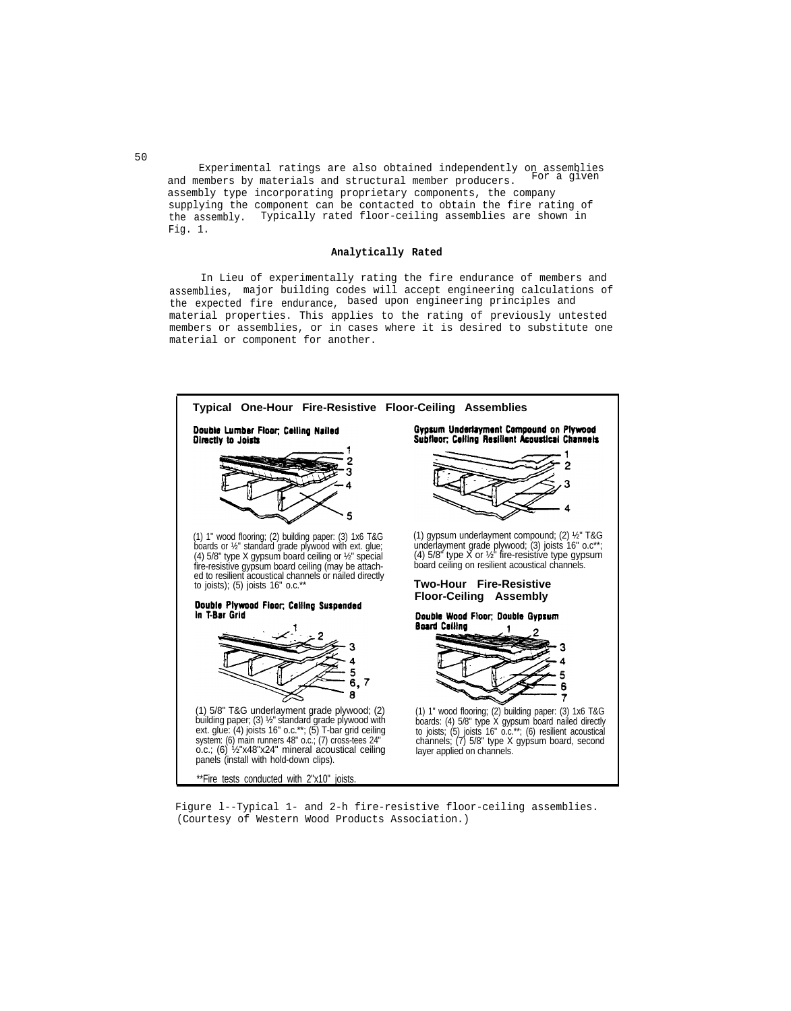Experimental ratings are also obtained independently on assemblies and members by materials and structural member producers. assembly type incorporating proprietary components, the company supplying the component can be contacted to obtain the fire rating of the assembly. Typically rated floor-ceiling assemblies are shown in Fig. 1.

### **Analytically Rated**

In Lieu of experimentally rating the fire endurance of members and assemblies, major building codes will accept engineering calculations of the expected fire endurance, based upon engineering principles and material properties. This applies to the rating of previously untested members or assemblies, or in cases where it is desired to substitute one material or component for another.



Figure l--Typical 1- and 2-h fire-resistive floor-ceiling assemblies. (Courtesy of Western Wood Products Association.)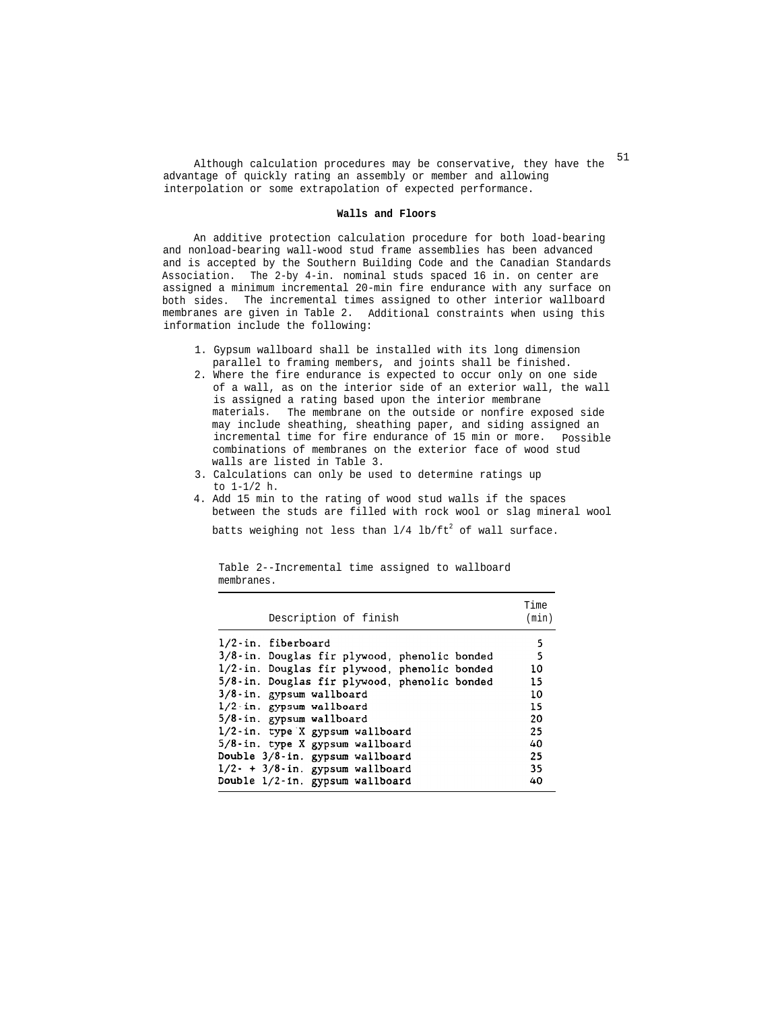Although calculation procedures may be conservative, they have the  $51$ advantage of quickly rating an assembly or member and allowing interpolation or some extrapolation of expected performance.

### **Walls and Floors**

An additive protection calculation procedure for both load-bearing and nonload-bearing wall-wood stud frame assemblies has been advanced and is accepted by the Southern Building Code and the Canadian Standards Association. The 2-by 4-in. nominal studs spaced 16 in. on center are assigned a minimum incremental 20-min fire endurance with any surface on both sides. The incremental times assigned to other interior wallboard membranes are given in Table 2. Additional constraints when using this information include the following:

- 1. Gypsum wallboard shall be installed with its long dimension parallel to framing members, and joints shall be finished.
- 2. Where the fire endurance is expected to occur only on one side of a wall, as on the interior side of an exterior wall, the wall is assigned a rating based upon the interior membrane materials. The membrane on the outside or nonfire exposed side may include sheathing, sheathing paper, and siding assigned an incremental time for fire endurance of 15 min or more. Possible combinations of membranes on the exterior face of wood stud walls are listed in Table 3.
- 3. Calculations can only be used to determine ratings up to 1-1/2 h.
- 4. Add 15 min to the rating of wood stud walls if the spaces between the studs are filled with rock wool or slag mineral wool

batts weighing not less than  $1/4$  lb/ft<sup>2</sup> of wall surface.

| Description of finish                        | Time<br>(min) |
|----------------------------------------------|---------------|
| 1/2-in. fiberboard                           | 5             |
| 3/8-in. Douglas fir plywood, phenolic bonded | 5             |
| 1/2-in. Douglas fir plywood, phenolic bonded | 10            |
| 5/8-in. Douglas fir plywood, phenolic bonded | 15            |
| 3/8-in. gypsum wallboard                     | 10            |
| 1/2-in. gypsum wallboard                     | 15            |
| 5/8-in. gypsum wallboard                     | 20            |
| 1/2-in. type X gypsum wallboard              | 25            |
| 5/8-in. type X gypsum wallboard              | 40            |
| Double 3/8-in. gypsum wallboard              | 25            |
| $1/2$ - + $3/8$ -in. gypsum wallboard        | 35            |
| Double 1/2-in. gypsum wallboard              | 40            |

Table 2--Incremental time assigned to wallboard membranes.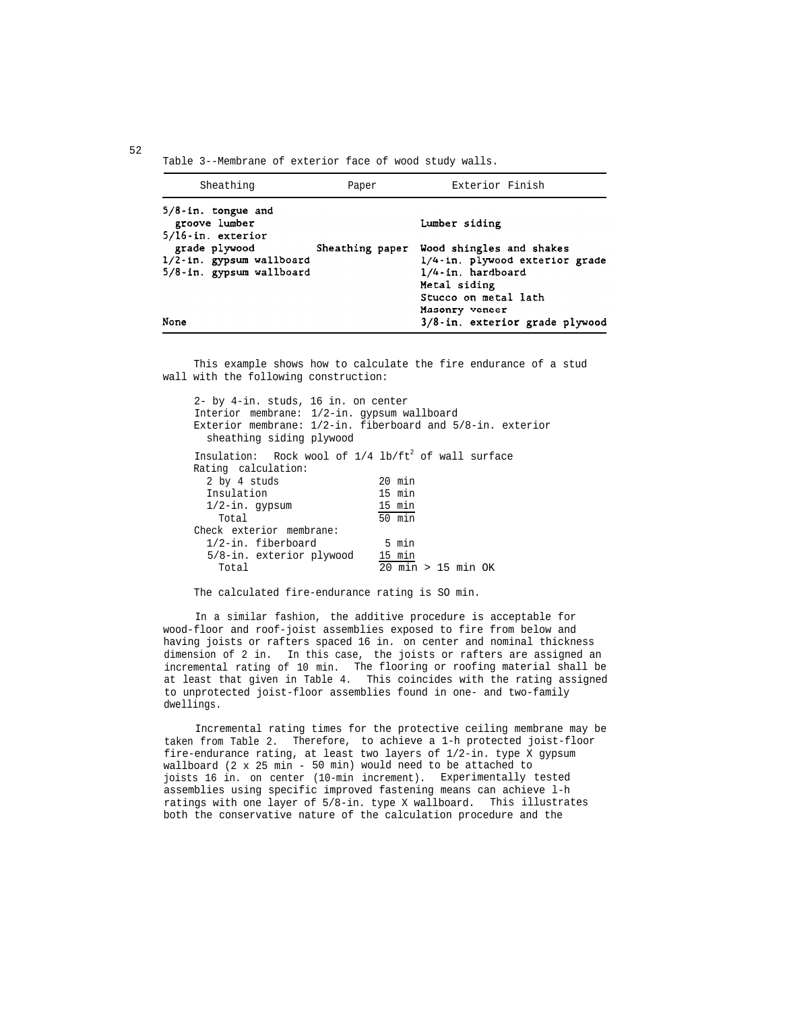Table 3--Membrane of exterior face of wood study walls.

| Sheathing                                                                                                                                    | Paper | Exterior Finish                                                                                                                                                            |
|----------------------------------------------------------------------------------------------------------------------------------------------|-------|----------------------------------------------------------------------------------------------------------------------------------------------------------------------------|
| $5/8$ -in. tongue and<br>groove lumber<br>5/16-in. exterior<br>grade plywood<br>1/2-in. gypsum wallboard<br>5/8-in. gypsum wallboard<br>None |       | Lumber siding<br>Sheathing paper Wood shingles and shakes<br>1/4-in. plywood exterior grade<br>1/4-in. hardboard<br>Metal siding<br>Stucco on metal lath<br>Masonry veneer |
|                                                                                                                                              |       | 3/8-in. exterior grade plywood                                                                                                                                             |

This example shows how to calculate the fire endurance of a stud wall with the following construction:

| 2- by 4-in. studs, 16 in. on center<br>Interior membrane: 1/2-in. gypsum wallboard<br>Exterior membrane: $1/2$ -in. fiberboard and $5/8$ -in. exterior |
|--------------------------------------------------------------------------------------------------------------------------------------------------------|
| Insulation: Rock wool of $1/4$ lb/ft <sup>2</sup> of wall surface                                                                                      |
| $20$ min                                                                                                                                               |
| 15 min                                                                                                                                                 |
| 15 min                                                                                                                                                 |
| 50 min                                                                                                                                                 |
|                                                                                                                                                        |
| 5 min                                                                                                                                                  |
| 15 min                                                                                                                                                 |
| $20$ min > 15 min OK                                                                                                                                   |
|                                                                                                                                                        |

The calculated fire-endurance rating is SO min.

In a similar fashion, the additive procedure is acceptable for wood-floor and roof-joist assemblies exposed to fire from below and having joists or rafters spaced 16 in. on center and nominal thickness dimension of 2 in. In this case, the joists or rafters are assigned an incremental rating of 10 min. The flooring or roofing material shall be at least that given in Table 4. This coincides with the rating assigned to unprotected joist-floor assemblies found in one- and two-family dwellings.

Incremental rating times for the protective ceiling membrane may be taken from Table 2. Therefore, to achieve a 1-h protected joist-floor fire-endurance rating, at least two layers of 1/2-in. type X gypsum wallboard (2 x 25 min - 50 min) would need to be attached to joists 16 in. on center (10-min increment). Experimentally tested assemblies using specific improved fastening means can achieve l-h ratings with one layer of 5/8-in. type X wallboard. This illustrates both the conservative nature of the calculation procedure and the

52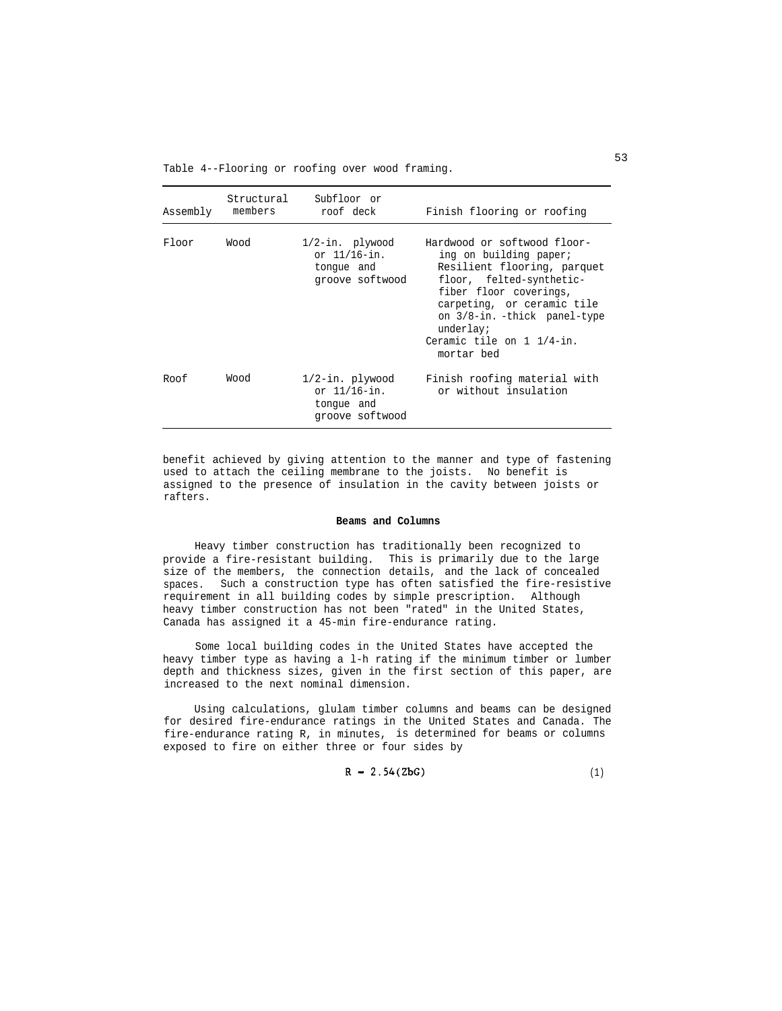Table 4--Flooring or roofing over wood framing.

| Assembly | Structural<br>members | Subfloor or<br>roof deck                                            | Finish flooring or roofing                                                                                                                                                                                                                                       |
|----------|-----------------------|---------------------------------------------------------------------|------------------------------------------------------------------------------------------------------------------------------------------------------------------------------------------------------------------------------------------------------------------|
| Floor    | Wood                  | $1/2$ -in. plywood<br>or 11/16-in.<br>tonque and<br>groove softwood | Hardwood or softwood floor-<br>ing on building paper;<br>Resilient flooring, parquet<br>floor, felted-synthetic-<br>fiber floor coverings,<br>carpeting, or ceramic tile<br>on 3/8-in. -thick panel-type<br>underlay;<br>Ceramic tile on 1 1/4-in.<br>mortar bed |
| Roof     | Wood                  | $1/2$ -in. plywood<br>or 11/16-in.<br>tonque and<br>groove softwood | Finish roofing material with<br>or without insulation                                                                                                                                                                                                            |

benefit achieved by giving attention to the manner and type of fastening used to attach the ceiling membrane to the joists. No benefit is assigned to the presence of insulation in the cavity between joists or rafters.

#### **Beams and Columns**

Heavy timber construction has traditionally been recognized to provide a fire-resistant building. This is primarily due to the large size of the members, the connection details, and the lack of concealed spaces. Such a construction type has often satisfied the fire-resistive requirement in all building codes by simple prescription. Although heavy timber construction has not been "rated" in the United States, Canada has assigned it a 45-min fire-endurance rating.

Some local building codes in the United States have accepted the heavy timber type as having a l-h rating if the minimum timber or lumber depth and thickness sizes, given in the first section of this paper, are increased to the next nominal dimension.

Using calculations, glulam timber columns and beams can be designed for desired fire-endurance ratings in the United States and Canada. The fire-endurance rating R, in minutes, is determined for beams or columns exposed to fire on either three or four sides by

$$
R = 2.54(ZbG) \tag{1}
$$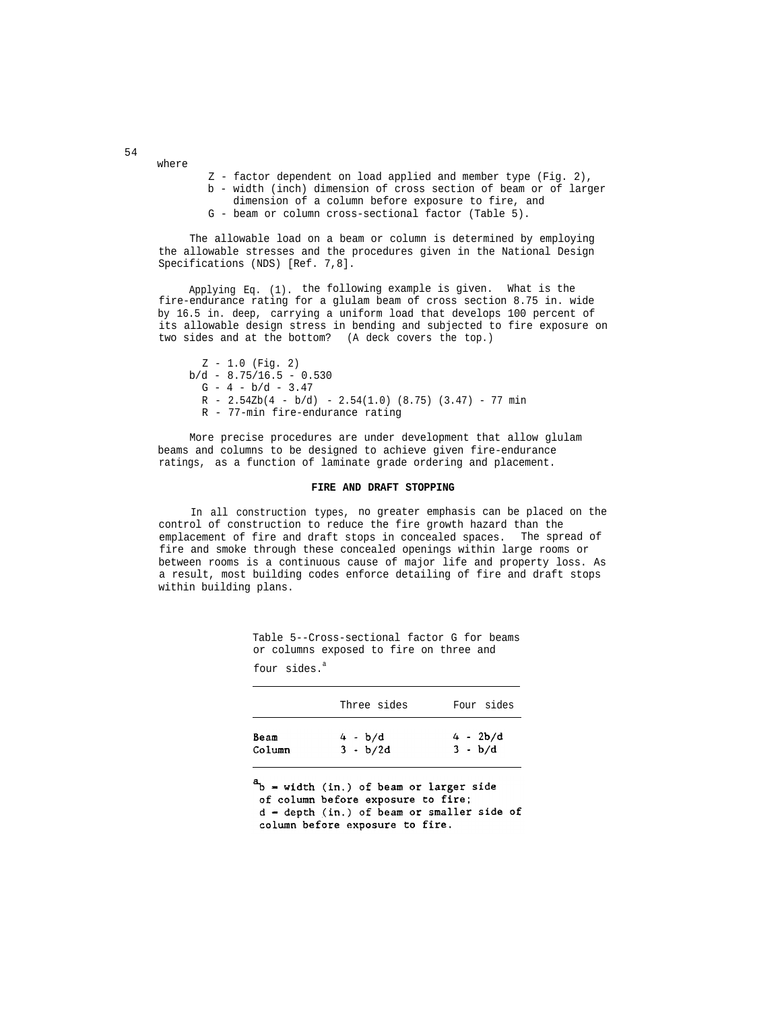Z - factor dependent on load applied and member type (Fig. 2),

- b width (inch) dimension of cross section of beam or of larger dimension of a column before exposure to fire, and
- 
- G beam or column cross-sectional factor (Table 5).

The allowable load on a beam or column is determined by employing the allowable stresses and the procedures given in the National Design Specifications (NDS) [Ref. 7,8].

Applying Eq. (1). the following example is given. What is the fire-endurance rating for a glulam beam of cross section 8.75 in. wide by 16.5 in. deep, carrying a uniform load that develops 100 percent of its allowable design stress in bending and subjected to fire exposure on two sides and at the bottom? (A deck covers the top.)

Z - 1.0 (Fig. 2)  $b/d - 8.75/16.5 - 0.530$  $G - 4 - b/d - 3.47$  $R - 2.54Zb(4 - b/d) - 2.54(1.0)$  (8.75) (3.47) - 77 min R - 77-min fire-endurance rating

More precise procedures are under development that allow glulam beams and columns to be designed to achieve given fire-endurance ratings, as a function of laminate grade ordering and placement.

# **FIRE AND DRAFT STOPPING**

In all construction types, no greater emphasis can be placed on the control of construction to reduce the fire growth hazard than the emplacement of fire and draft stops in concealed spaces. The spread of fire and smoke through these concealed openings within large rooms or between rooms is a continuous cause of major life and property loss. As a result, most building codes enforce detailing of fire and draft stops within building plans.

> Table 5--Cross-sectional factor G for beams or columns exposed to fire on three and four sides.<sup>a</sup>

|        | Three sides | Four sides |
|--------|-------------|------------|
| Beam   | $4 - b/d$   | $4 - 2b/d$ |
| Column | $3 - b/2d$  | $3 - b/d$  |

 $a_{\text{b}}$  = width (in.) of beam or larger side of column before exposure to fire;  $d = depth (in.)$  of beam or smaller side of column before exposure to fire.

54

where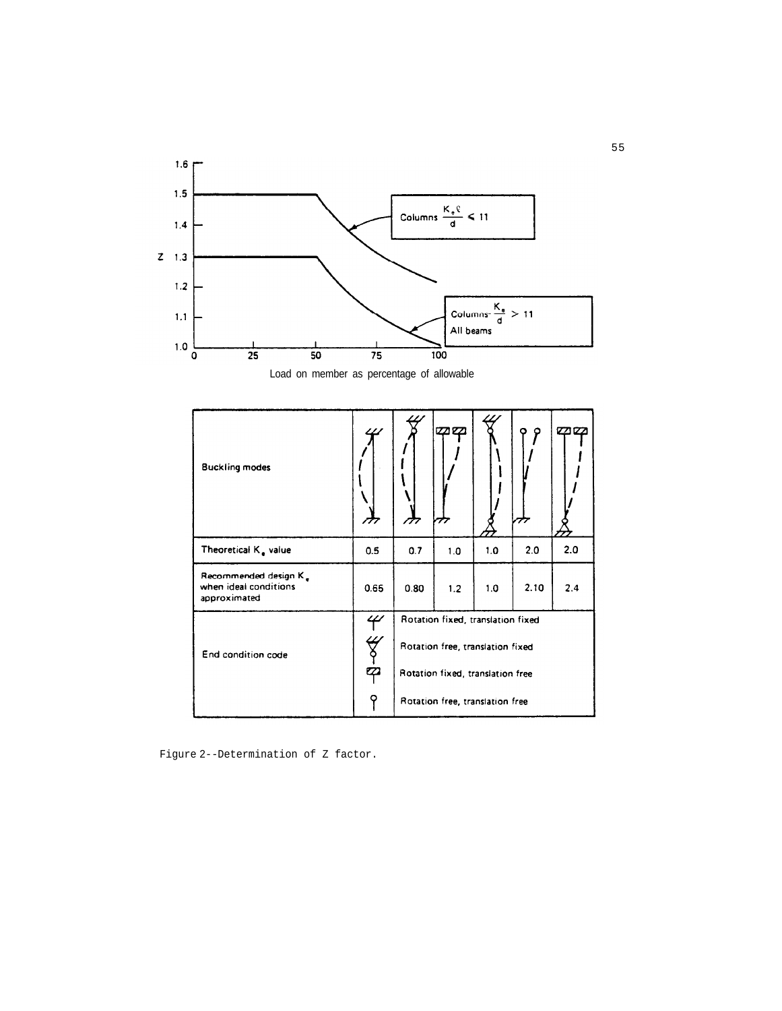



| <b>Buckling modes</b>                                          |      |                                  | zaeza                             |     |      |     |
|----------------------------------------------------------------|------|----------------------------------|-----------------------------------|-----|------|-----|
| Theoretical $K_{\bullet}$ value                                | 0.5  | 0.7                              | 1.0                               | 1.0 | 2.0  | 2.0 |
| Recommended design K.<br>when ideal conditions<br>approximated | 0.65 | 0.80                             | 1.2                               | 1.0 | 2.10 | 2.4 |
|                                                                | 4    |                                  | Rotation fixed, translation fixed |     |      |     |
| End condition code                                             | ₩    | Rotation free, translation fixed |                                   |     |      |     |
|                                                                | マ    | Rotation fixed, translation free |                                   |     |      |     |
|                                                                | Q    |                                  | Rotation free, translation free   |     |      |     |

Figure 2--Determination of Z factor.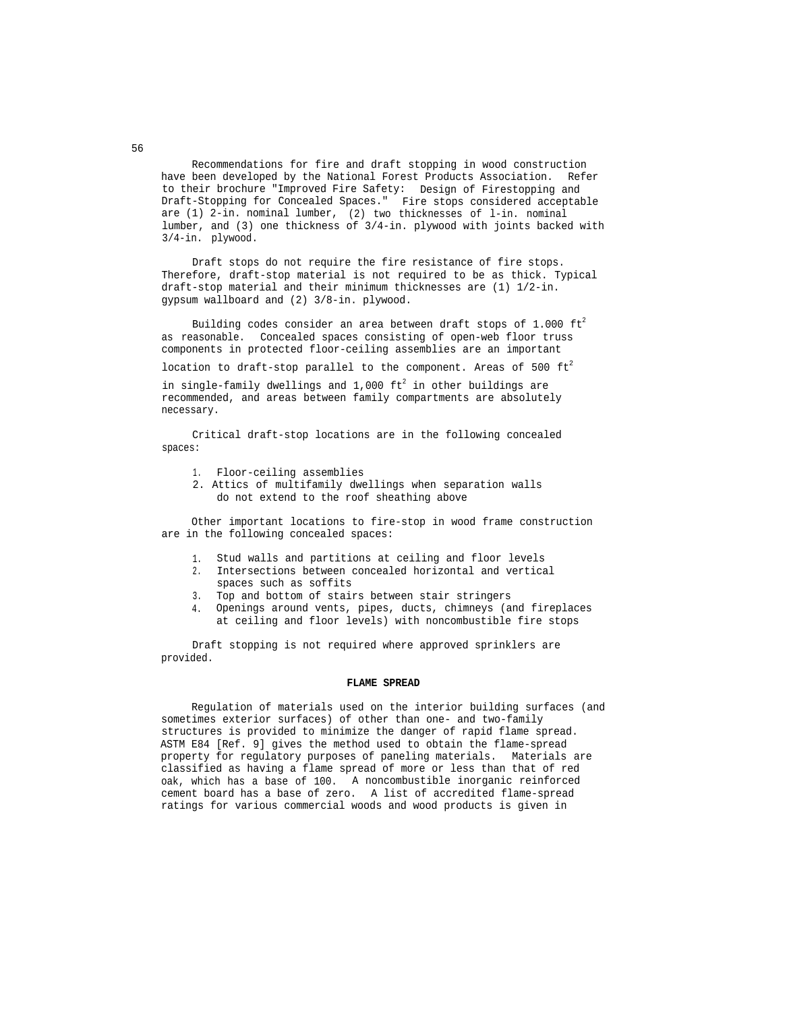Recommendations for fire and draft stopping in wood construction have been developed by the National Forest Products Association. Refer to their brochure "Improved Fire Safety: Design of Firestopping and Draft-Stopping for Concealed Spaces." Fire stops considered acceptable are (1) 2-in. nominal lumber, (2) two thicknesses of l-in. nominal lumber, and (3) one thickness of 3/4-in. plywood with joints backed with 3/4-in. plywood.

Draft stops do not require the fire resistance of fire stops. Therefore, draft-stop material is not required to be as thick. Typical draft-stop material and their minimum thicknesses are (1) 1/2-in. gypsum wallboard and (2) 3/8-in. plywood.

Building codes consider an area between draft stops of 1.000  $\text{ft}^2$ as reasonable. Concealed spaces consisting of open-web floor truss components in protected floor-ceiling assemblies are an important

location to draft-stop parallel to the component. Areas of 500  $ft<sup>2</sup>$ 

in single-family dwellings and  $1,000$  ft<sup>2</sup> in other buildings are recommended, and areas between family compartments are absolutely necessary.

Critical draft-stop locations are in the following concealed spaces:

- 1. Floor-ceiling assemblies
- 2. Attics of multifamily dwellings when separation walls do not extend to the roof sheathing above

Other important locations to fire-stop in wood frame construction are in the following concealed spaces:

- 1. Stud walls and partitions at ceiling and floor levels
- 2. Intersections between concealed horizontal and vertical spaces such as soffits
- 3. Top and bottom of stairs between stair stringers
- 4. Openings around vents, pipes, ducts, chimneys (and fireplaces at ceiling and floor levels) with noncombustible fire stops

Draft stopping is not required where approved sprinklers are provided.

### **FLAME SPREAD**

Regulation of materials used on the interior building surfaces (and sometimes exterior surfaces) of other than one- and two-family structures is provided to minimize the danger of rapid flame spread. ASTM E84 [Ref. 9] gives the method used to obtain the flame-spread property for regulatory purposes of paneling materials. Materials are classified as having a flame spread of more or less than that of red oak, which has a base of 100. A noncombustible inorganic reinforced cement board has a base of zero. A list of accredited flame-spread ratings for various commercial woods and wood products is given in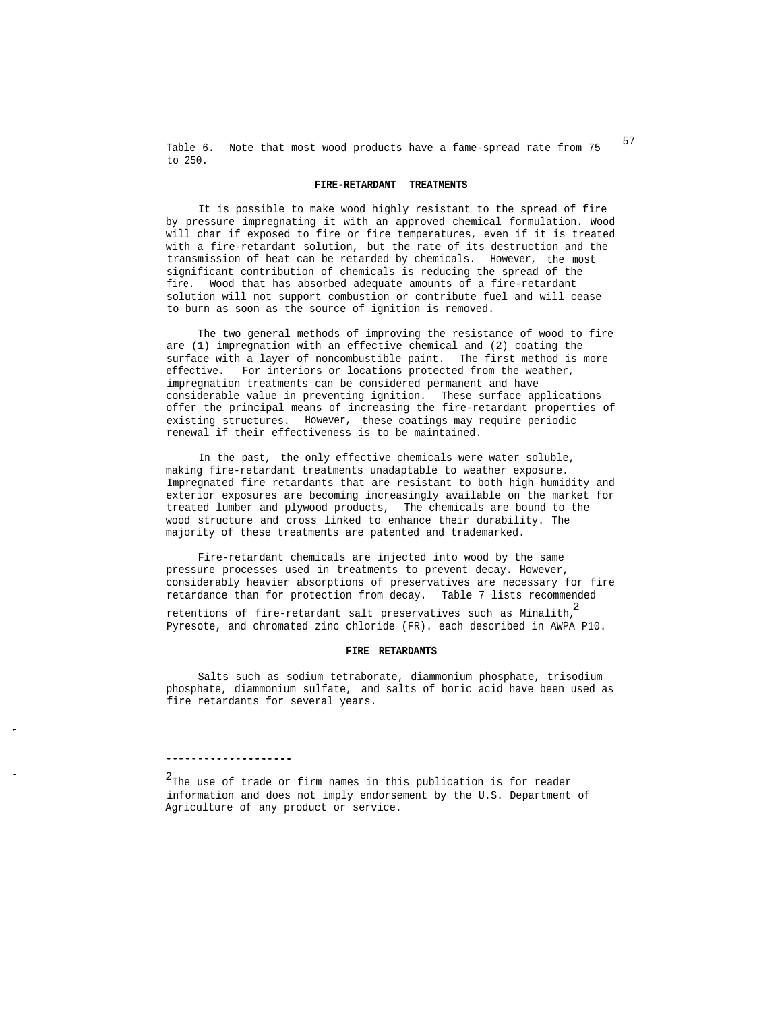Table 6. Note that most wood products have a fame-spread rate from 75 <sup>57</sup> to 250.

#### **FIRE-RETARDANT TREATMENTS**

It is possible to make wood highly resistant to the spread of fire by pressure impregnating it with an approved chemical formulation. Wood will char if exposed to fire or fire temperatures, even if it is treated with a fire-retardant solution, but the rate of its destruction and the transmission of heat can be retarded by chemicals. However, the most significant contribution of chemicals is reducing the spread of the fire. Wood that has absorbed adequate amounts of a fire-retardant solution will not support combustion or contribute fuel and will cease to burn as soon as the source of ignition is removed.

The two general methods of improving the resistance of wood to fire are (1) impregnation with an effective chemical and (2) coating the surface with a layer of noncombustible paint. The first method is more effective. For interiors or locations protected from the weather, impregnation treatments can be considered permanent and have considerable value in preventing ignition. These surface applications offer the principal means of increasing the fire-retardant properties of existing structures. However, these coatings may require periodic renewal if their effectiveness is to be maintained.

In the past, the only effective chemicals were water soluble, making fire-retardant treatments unadaptable to weather exposure. Impregnated fire retardants that are resistant to both high humidity and exterior exposures are becoming increasingly available on the market for treated lumber and plywood products, The chemicals are bound to the wood structure and cross linked to enhance their durability. The majority of these treatments are patented and trademarked.

retentions of fire-retardant salt preservatives such as Minalith, $^{2}$ Pyresote, and chromated zinc chloride (FR). each described in AWPA P10. Fire-retardant chemicals are injected into wood by the same pressure processes used in treatments to prevent decay. However, considerably heavier absorptions of preservatives are necessary for fire retardance than for protection from decay. Table 7 lists recommended

### **FIRE RETARDANTS**

Salts such as sodium tetraborate, diammonium phosphate, trisodium phosphate, diammonium sulfate, and salts of boric acid have been used as fire retardants for several years.

# 

2 The use of trade or firm names in this publication is for reader information and does not imply endorsement by the U.S. Department of Agriculture of any product or service.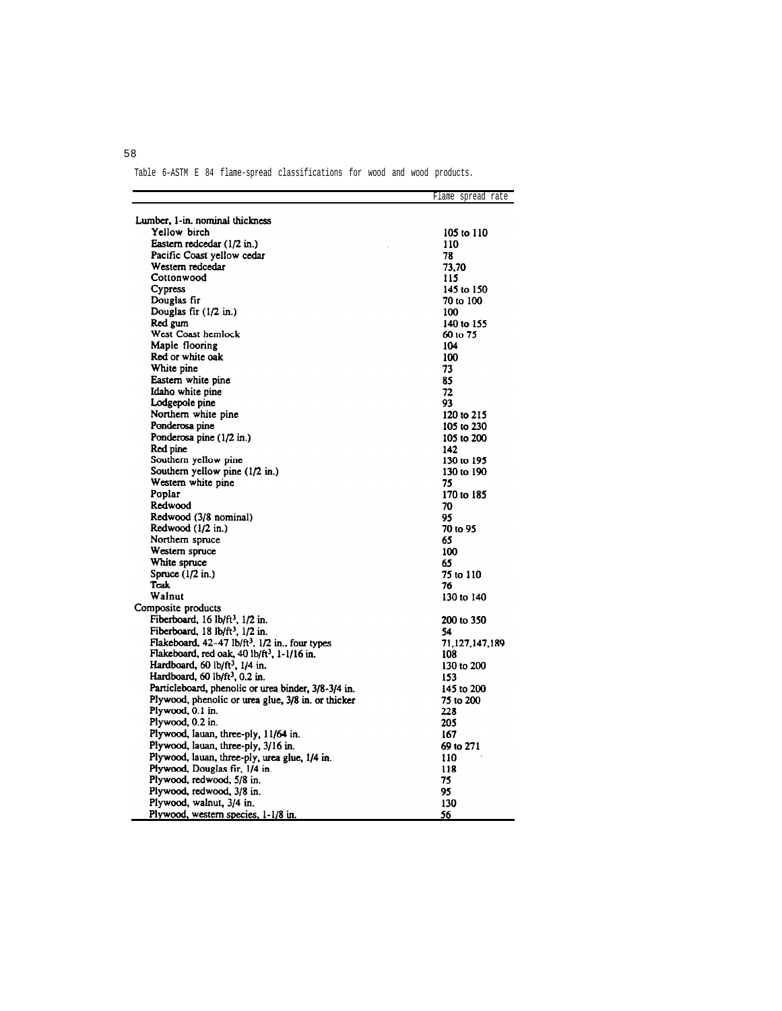Table 6–ASTM E 84 flame-spread classifications for wood and wood products.

|                                                            | Flame spread rate |
|------------------------------------------------------------|-------------------|
| Lumber, 1-in. nominal thickness                            |                   |
| Yellow birch                                               | 105 to 110        |
| Eastern redcedar (1/2 in.)                                 | 110               |
| Pacific Coast yellow cedar                                 | 78                |
| Western redcedar                                           | 73.70             |
| Cottonwood                                                 | 115               |
| Cypress                                                    | 145 to 150        |
| Douglas fir                                                | 70 to 100         |
| Douglas fir $(1/2$ in.)                                    | 100               |
| Red gum                                                    |                   |
| West Coast hemlock                                         | 140 to 155        |
| Maple flooring                                             | 60 to 75          |
| Red or white oak                                           | 104               |
|                                                            | 100               |
| White pine                                                 | 73                |
| Eastern white pine                                         | 85                |
| Idaho white pine                                           | 72                |
| Lodgepole pine                                             | 93                |
| Northern white pine                                        | 120 to 215        |
| Ponderosa pine                                             | 105 to 230        |
| Ponderosa pine (1/2 in.)                                   | 105 to 200        |
| Red pine                                                   | 142               |
| Southern yellow pine                                       | 130 to 195        |
| Southern yellow pine (1/2 in.)                             | 130 to 190        |
| Western white pine                                         | 75                |
| Poplar                                                     | 170 to 185        |
| Redwood                                                    | 70                |
| Redwood (3/8 nominal)                                      | 95                |
| Redwood $(1/2$ in.)                                        | 70 to 95          |
| Northern spruce                                            | 65                |
| Western spruce                                             | 100               |
| White spruce                                               | 65                |
| Spruce $(1/2$ in.)                                         | 75 to 110         |
| Teak                                                       | 76                |
| Walnut                                                     | 130 to 140        |
| Composite products                                         |                   |
| Fiberboard, $16 \text{ lb/ft}^3$ , $1/2$ in.               | 200 to 350        |
| Fiberboard, 18 lb/ft <sup>3</sup> , 1/2 in.                | 54                |
| Flakeboard, 42-47 lb/ft <sup>3</sup> , 1/2 in., four types | 71,127,147,189    |
| Flakeboard, red oak, 40 lb/ft <sup>3</sup> , 1-1/16 in.    | 108               |
| Hardboard, 60 $1b/ft^3$ , $1/4$ in.                        | 130 to 200        |
| Hardboard, 60 $1b/ft^3$ , 0.2 in.                          | 153               |
| Particleboard, phenolic or urea binder, 3/8-3/4 in.        | 145 to 200        |
| Plywood, phenolic or urea glue, 3/8 in. or thicker         | 75 to 200         |
| Plywood, 0.1 in.                                           | 228               |
| Plywood, 0.2 in.                                           | 205               |
| Plywood, lauan, three-ply, 11/64 in.                       | 167               |
| Plywood, lauan, three-ply, 3/16 in.                        | 69 to 271         |
| Plywood, lauan, three-ply, urea glue, 1/4 in.              |                   |
| Plywood, Douglas fir, 1/4 in.                              | 110               |
|                                                            | 118               |
| Plywood, redwood, 5/8 in.                                  | 75                |
| Plywood, redwood, 3/8 in.                                  | 95                |
| Plywood, walnut, 3/4 in.                                   | 130               |
| Plywood, western species, 1-1/8 in.                        | 56                |

58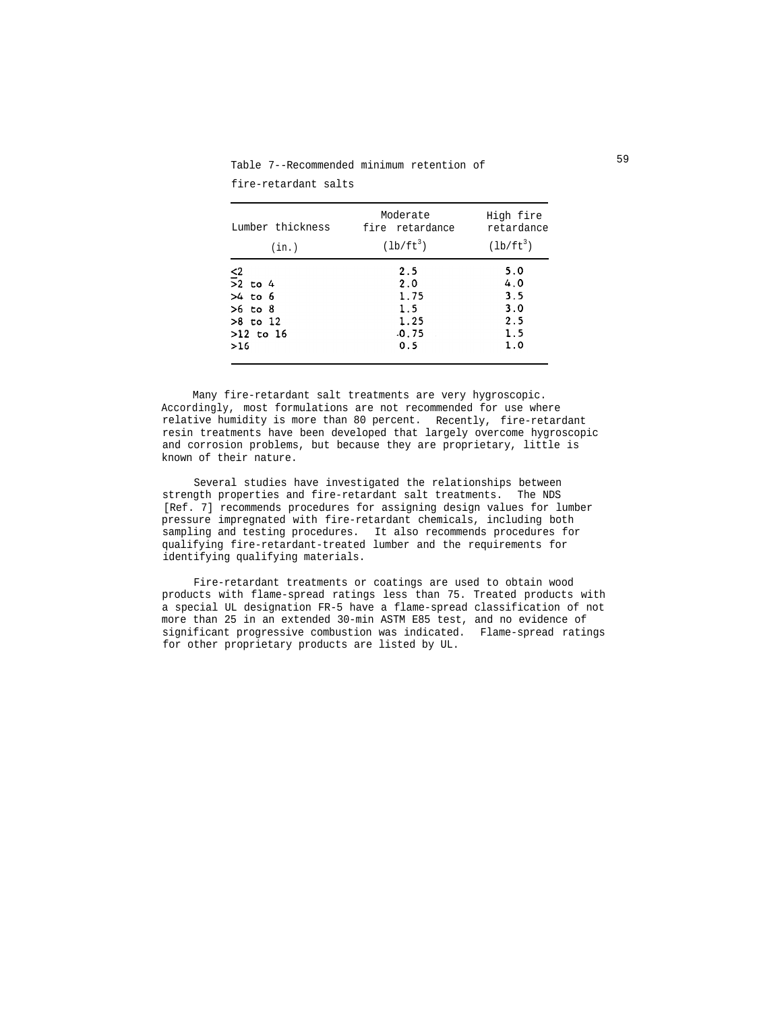Moderate High fire Lumber thickness fire retardance retardance (in.)  $(lb/ft^3)$   $(lb/ft^3)$  $5.0$  $\leq$  $2.5$  $\overline{>}2$  to 4  $2.0$  $4.0$ 1.75  $3.5$  $>4$  to  $6$  $>6$  to  $8$  $3.0$  $1.5$  $>8$  to  $12$ 1.25  $2.5$  $>12$  to 16  $.0.75$  $1.5$  $1.0$  $0.5$  $>16$ 

Table 7--Recommended minimum retention of fire-retardant salts

Many fire-retardant salt treatments are very hygroscopic. Accordingly, most formulations are not recommended for use where relative humidity is more than 80 percent. Recently, fire-retardant resin treatments have been developed that largely overcome hygroscopic and corrosion problems, but because they are proprietary, little is known of their nature.

Several studies have investigated the relationships between strength properties and fire-retardant salt treatments. The NDS [Ref. 7] recommends procedures for assigning design values for lumber pressure impregnated with fire-retardant chemicals, including both sampling and testing procedures. It also recommends procedures for qualifying fire-retardant-treated lumber and the requirements for identifying qualifying materials.

Fire-retardant treatments or coatings are used to obtain wood products with flame-spread ratings less than 75. Treated products with a special UL designation FR-5 have a flame-spread classification of not more than 25 in an extended 30-min ASTM E85 test, and no evidence of significant progressive combustion was indicated. Flame-spread ratings for other proprietary products are listed by UL.